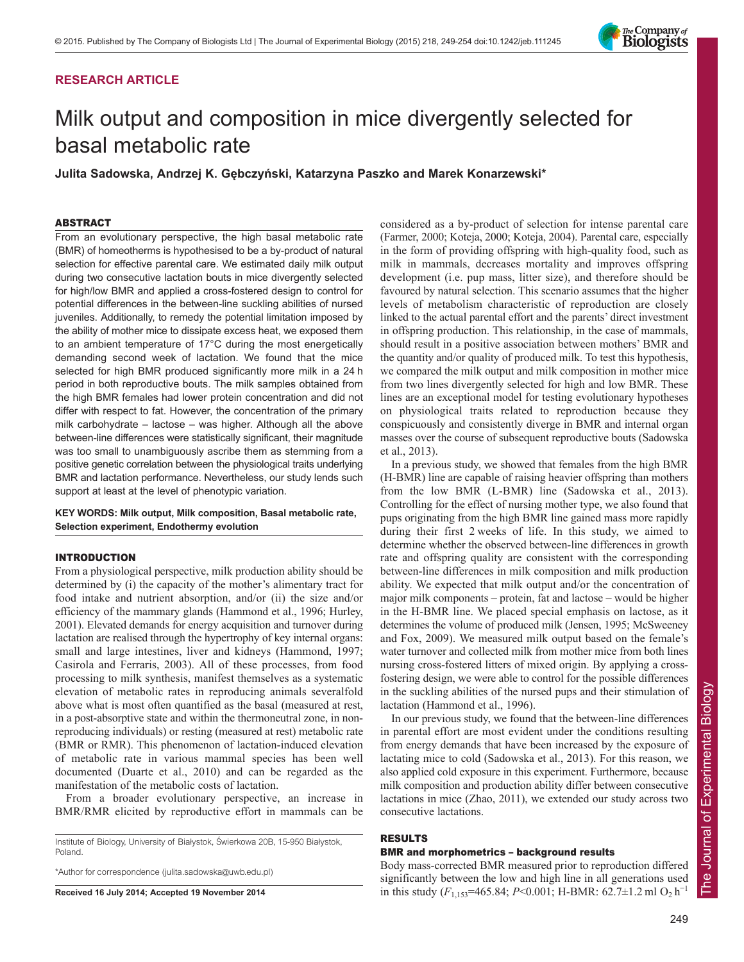## **RESEARCH ARTICLE**



# Milk output and composition in mice divergently selected for basal metabolic rate

**Julita Sadowska, Andrzej K. Gębczyński, Katarzyna Paszko and Marek Konarzewski\***

## ABSTRACT

From an evolutionary perspective, the high basal metabolic rate (BMR) of homeotherms is hypothesised to be a by-product of natural selection for effective parental care. We estimated daily milk output during two consecutive lactation bouts in mice divergently selected for high/low BMR and applied a cross-fostered design to control for potential differences in the between-line suckling abilities of nursed juveniles. Additionally, to remedy the potential limitation imposed by the ability of mother mice to dissipate excess heat, we exposed them to an ambient temperature of 17°C during the most energetically demanding second week of lactation. We found that the mice selected for high BMR produced significantly more milk in a 24 h period in both reproductive bouts. The milk samples obtained from the high BMR females had lower protein concentration and did not differ with respect to fat. However, the concentration of the primary milk carbohydrate – lactose – was higher. Although all the above between-line differences were statistically significant, their magnitude was too small to unambiguously ascribe them as stemming from a positive genetic correlation between the physiological traits underlying BMR and lactation performance. Nevertheless, our study lends such support at least at the level of phenotypic variation.

**KEY WORDS: Milk output, Milk composition, Basal metabolic rate, Selection experiment, Endothermy evolution**

## INTRODUCTION

From a physiological perspective, milk production ability should be determined by (i) the capacity of the mother's alimentary tract for food intake and nutrient absorption, and/or (ii) the size and/or efficiency of the mammary glands (Hammond et al., 1996; Hurley, 2001). Elevated demands for energy acquisition and turnover during lactation are realised through the hypertrophy of key internal organs: small and large intestines, liver and kidneys (Hammond, 1997; Casirola and Ferraris, 2003). All of these processes, from food processing to milk synthesis, manifest themselves as a systematic elevation of metabolic rates in reproducing animals severalfold above what is most often quantified as the basal (measured at rest, in a post-absorptive state and within the thermoneutral zone, in nonreproducing individuals) or resting (measured at rest) metabolic rate (BMR or RMR). This phenomenon of lactation-induced elevation of metabolic rate in various mammal species has been well documented (Duarte et al., 2010) and can be regarded as the manifestation of the metabolic costs of lactation.

From a broader evolutionary perspective, an increase in BMR/RMR elicited by reproductive effort in mammals can be

Institute of Biology, University of Białystok, Świerkowa 20B, 15-950 Białystok, Poland.

\*Author for correspondence (julita.sadowska@uwb.edu.pl)

**Received 16 July 2014; Accepted 19 November 2014**

considered as a by-product of selection for intense parental care (Farmer, 2000; Koteja, 2000; Koteja, 2004). Parental care, especially in the form of providing offspring with high-quality food, such as milk in mammals, decreases mortality and improves offspring development (i.e. pup mass, litter size), and therefore should be favoured by natural selection. This scenario assumes that the higher levels of metabolism characteristic of reproduction are closely linked to the actual parental effort and the parents' direct investment in offspring production. This relationship, in the case of mammals, should result in a positive association between mothers' BMR and the quantity and/or quality of produced milk. To test this hypothesis, we compared the milk output and milk composition in mother mice from two lines divergently selected for high and low BMR. These lines are an exceptional model for testing evolutionary hypotheses on physiological traits related to reproduction because they conspicuously and consistently diverge in BMR and internal organ masses over the course of subsequent reproductive bouts (Sadowska et al., 2013).

In a previous study, we showed that females from the high BMR (H-BMR) line are capable of raising heavier offspring than mothers from the low BMR (L-BMR) line (Sadowska et al., 2013). Controlling for the effect of nursing mother type, we also found that pups originating from the high BMR line gained mass more rapidly during their first 2 weeks of life. In this study, we aimed to determine whether the observed between-line differences in growth rate and offspring quality are consistent with the corresponding between-line differences in milk composition and milk production ability. We expected that milk output and/or the concentration of major milk components – protein, fat and lactose – would be higher in the H-BMR line. We placed special emphasis on lactose, as it determines the volume of produced milk (Jensen, 1995; McSweeney and Fox, 2009). We measured milk output based on the female's water turnover and collected milk from mother mice from both lines nursing cross-fostered litters of mixed origin. By applying a crossfostering design, we were able to control for the possible differences in the suckling abilities of the nursed pups and their stimulation of lactation (Hammond et al., 1996).

In our previous study, we found that the between-line differences in parental effort are most evident under the conditions resulting from energy demands that have been increased by the exposure of lactating mice to cold (Sadowska et al., 2013). For this reason, we also applied cold exposure in this experiment. Furthermore, because milk composition and production ability differ between consecutive lactations in mice (Zhao, 2011), we extended our study across two consecutive lactations.

## RESULTS

## BMR and morphometrics – background results

Body mass-corrected BMR measured prior to reproduction differed significantly between the low and high line in all generations used in this study  $(F_{1,153}=465.84; P<0.001; H-BMR: 62.7\pm1.2 \text{ ml } O_2 h^{-1}$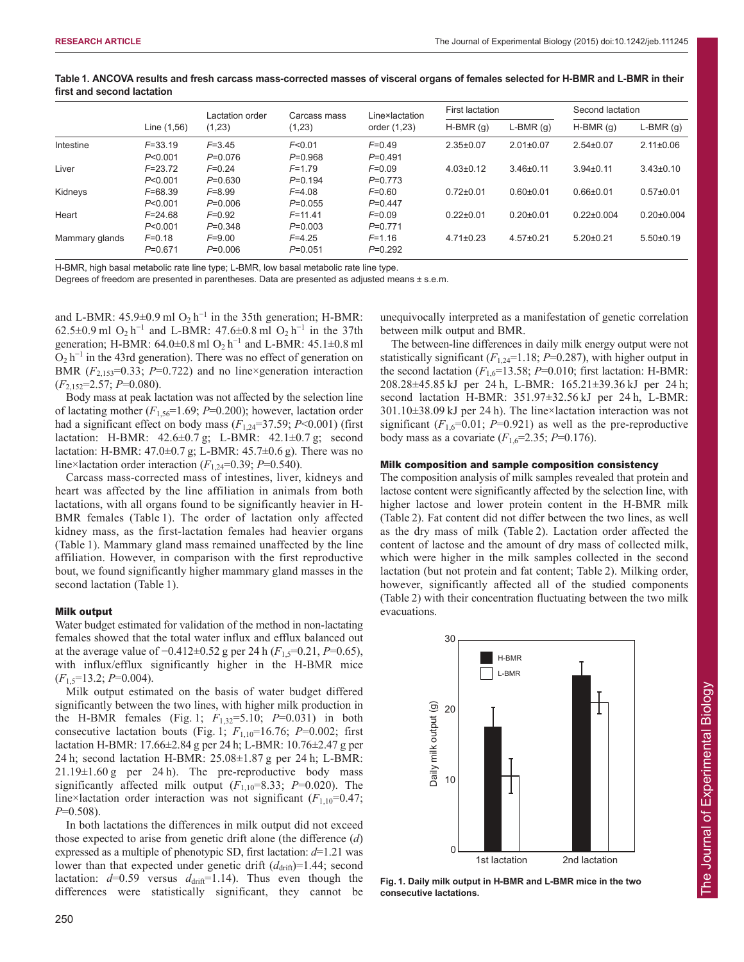|                |             | Lactation order | Carcass mass | Linexlactation | <b>First lactation</b> |                 | Second lactation |                  |  |
|----------------|-------------|-----------------|--------------|----------------|------------------------|-----------------|------------------|------------------|--|
|                | Line (1,56) | (1,23)          | (1,23)       | order (1,23)   | $H-BMR(q)$             | $L-BMR(q)$      | $H-BMR(q)$       | $L-BMR(q)$       |  |
| Intestine      | $F = 33.19$ | $F = 3.45$      | F<0.01       | $F = 0.49$     | $2.35 \pm 0.07$        | $2.01 \pm 0.07$ | $2.54 \pm 0.07$  | $2.11 \pm 0.06$  |  |
|                | P<0.001     | $P=0.076$       | $P = 0.968$  | $P=0.491$      |                        |                 |                  |                  |  |
| Liver          | $F = 23.72$ | $F = 0.24$      | $F = 1.79$   | $F = 0.09$     | $4.03 \pm 0.12$        | $3.46 \pm 0.11$ | $3.94 \pm 0.11$  | $3.43 \pm 0.10$  |  |
|                | P<0.001     | $P = 0.630$     | $P = 0.194$  | $P=0.773$      |                        |                 |                  |                  |  |
| Kidneys        | $F = 68.39$ | $F = 8.99$      | $F = 4.08$   | $F = 0.60$     | $0.72 \pm 0.01$        | $0.60 + 0.01$   | $0.66 + 0.01$    | $0.57 \pm 0.01$  |  |
|                | P<0.001     | $P=0.006$       | $P=0.055$    | $P=0.447$      |                        |                 |                  |                  |  |
| Heart          | $F = 24.68$ | $F = 0.92$      | $F = 11.41$  | $F = 0.09$     | $0.22 + 0.01$          | $0.20 + 0.01$   | $0.22 \pm 0.004$ | $0.20 \pm 0.004$ |  |
|                | P < 0.001   | $P = 0.348$     | $P=0.003$    | $P = 0.771$    |                        |                 |                  |                  |  |
| Mammary glands | $F = 0.18$  | $F = 9.00$      | $F = 4.25$   | $F = 1.16$     | $4.71 \pm 0.23$        | $4.57 \pm 0.21$ | $5.20 \pm 0.21$  | $5.50+0.19$      |  |
|                | $P = 0.671$ | $P=0.006$       | $P=0.051$    | $P=0.292$      |                        |                 |                  |                  |  |

**Table 1. ANCOVA results and fresh carcass mass-corrected masses of visceral organs of females selected for H-BMR and L-BMR in their first and second lactation**

H-BMR, high basal metabolic rate line type; L-BMR, low basal metabolic rate line type.

Degrees of freedom are presented in parentheses. Data are presented as adjusted means ± s.e.m.

and L-BMR:  $45.9\pm0.9$  ml  $O_2$  h<sup>-1</sup> in the 35th generation; H-BMR: 62.5±0.9 ml O<sub>2</sub> h<sup>-1</sup> and L-BMR: 47.6±0.8 ml O<sub>2</sub> h<sup>-1</sup> in the 37th generation; H-BMR: 64.0±0.8 ml O<sub>2</sub> h<sup>-1</sup> and L-BMR: 45.1±0.8 ml  $O_2$  h<sup>-1</sup> in the 43rd generation). There was no effect of generation on BMR ( $F_{2,153}=0.33$ ;  $P=0.722$ ) and no line×generation interaction (*F*2,152=2.57; *P*=0.080).

Body mass at peak lactation was not affected by the selection line of lactating mother  $(F_{1,56}=1.69; P=0.200)$ ; however, lactation order had a significant effect on body mass ( $F_{1,24}$ =37.59; *P*<0.001) (first lactation: H-BMR: 42.6±0.7 g; L-BMR: 42.1±0.7 g; second lactation: H-BMR:  $47.0\pm0.7$  g; L-BMR:  $45.7\pm0.6$  g). There was no line×lactation order interaction  $(F_{1,24}=0.39; P=0.540)$ .

Carcass mass-corrected mass of intestines, liver, kidneys and heart was affected by the line affiliation in animals from both lactations, with all organs found to be significantly heavier in H-BMR females (Table 1). The order of lactation only affected kidney mass, as the first-lactation females had heavier organs (Table 1). Mammary gland mass remained unaffected by the line affiliation. However, in comparison with the first reproductive bout, we found significantly higher mammary gland masses in the second lactation (Table 1).

## Milk output

Water budget estimated for validation of the method in non-lactating females showed that the total water influx and efflux balanced out at the average value of −0.412±0.52 g per 24 h (*F*1,5=0.21, *P*=0.65), with influx/efflux significantly higher in the H-BMR mice (*F*1,5=13.2; *P*=0.004).

Milk output estimated on the basis of water budget differed significantly between the two lines, with higher milk production in the H-BMR females (Fig. 1; *F*1,32=5.10; *P*=0.031) in both consecutive lactation bouts (Fig. 1;  $F_{1,10}$ =16.76;  $P=0.002$ ; first lactation H-BMR: 17.66±2.84 g per 24 h; L-BMR: 10.76±2.47 g per 24 h; second lactation H-BMR: 25.08±1.87 g per 24 h; L-BMR:  $21.19\pm1.60$  g per 24 h). The pre-reproductive body mass significantly affected milk output  $(F_{1,10}=8.33; P=0.020)$ . The line×lactation order interaction was not significant  $(F_{1,10}=0.47;$ *P*=0.508).

In both lactations the differences in milk output did not exceed those expected to arise from genetic drift alone (the difference (*d*) expressed as a multiple of phenotypic SD, first lactation: *d*=1.21 was lower than that expected under genetic drift  $(d<sub>drift</sub>)=1.44$ ; second lactation:  $d=0.59$  versus  $d_{\text{drift}}=1.14$ ). Thus even though the differences were statistically significant, they cannot be unequivocally interpreted as a manifestation of genetic correlation between milk output and BMR.

The between-line differences in daily milk energy output were not statistically significant  $(F_{1,24}=1.18; P=0.287)$ , with higher output in the second lactation  $(F_{1,6}=13.58; P=0.010;$  first lactation: H-BMR: 208.28±45.85 kJ per 24 h, L-BMR: 165.21±39.36 kJ per 24 h; second lactation H-BMR: 351.97±32.56 kJ per 24 h, L-BMR: 301.10±38.09 kJ per 24 h). The line×lactation interaction was not significant  $(F_{1,6}=0.01; P=0.921)$  as well as the pre-reproductive body mass as a covariate  $(F_{1,6}=2.35; P=0.176)$ .

### Milk composition and sample composition consistency

The composition analysis of milk samples revealed that protein and lactose content were significantly affected by the selection line, with higher lactose and lower protein content in the H-BMR milk (Table 2). Fat content did not differ between the two lines, as well as the dry mass of milk (Table 2). Lactation order affected the content of lactose and the amount of dry mass of collected milk, which were higher in the milk samples collected in the second lactation (but not protein and fat content; Table 2). Milking order, however, significantly affected all of the studied components (Table 2) with their concentration fluctuating between the two milk evacuations.



**Fig. 1. Daily milk output in H-BMR and L-BMR mice in the two consecutive lactations.**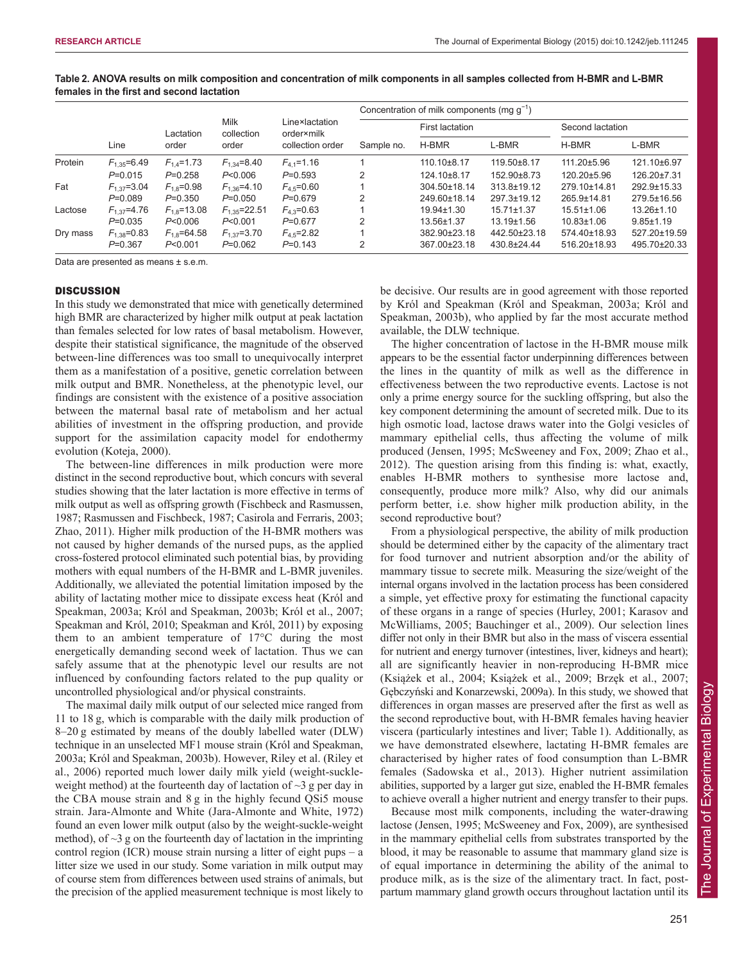|          |                   |                   |                    |                              |                | Concentration of milk components (mq $q^{-1}$ ) |                   |                  |                   |
|----------|-------------------|-------------------|--------------------|------------------------------|----------------|-------------------------------------------------|-------------------|------------------|-------------------|
|          |                   | Lactation         | Milk<br>collection | Line×lactation<br>order×milk |                | First lactation                                 |                   | Second lactation |                   |
|          | Line              | order             | order              | collection order             | Sample no.     | H-BMR                                           | L-BMR             | H-BMR            | L-BMR             |
| Protein  | $F_{1,35} = 6.49$ | $F_{14}$ =1.73    | $F_{1,34} = 8.40$  | $F_{4.1} = 1.16$             |                | 110.10±8.17                                     | 119.50±8.17       | 111.20±5.96      | 121.10±6.97       |
|          | $P = 0.015$       | $P=0.258$         | P < 0.006          | $P=0.593$                    | 2              | 124.10±8.17                                     | 152.90±8.73       | 120.20±5.96      | $126.20 \pm 7.31$ |
| Fat      | $F_{1,37} = 3.04$ | $F_{1,8} = 0.98$  | $F_{1,36} = 4.10$  | $F_{4,5} = 0.60$             |                | 304.50±18.14                                    | $313.8 \pm 19.12$ | 279.10±14.81     | 292.9±15.33       |
|          | $P=0.089$         | $P = 0.350$       | $P=0.050$          | $P=0.679$                    | $\overline{2}$ | 249.60±18.14                                    | 297.3±19.12       | 265.9±14.81      | 279.5±16.56       |
| Lactose  | $F_{1,37} = 4.76$ | $F_{1,8} = 13.08$ | $F_{1.35} = 22.51$ | $F_{4,3} = 0.63$             |                | $19.94 \pm 1.30$                                | $15.71 \pm 1.37$  | $15.51 \pm 1.06$ | $13.26 \pm 1.10$  |
|          | $P=0.035$         | P<0.006           | P<0.001            | $P=0.677$                    | $\overline{2}$ | 13.56±1.37                                      | $13.19 \pm 1.56$  | $10.83 \pm 1.06$ | $9.85 \pm 1.19$   |
| Dry mass | $F_{1,38} = 0.83$ | $F_{1,8} = 64.58$ | $F_{1.37} = 3.70$  | $F_{4.5} = 2.82$             |                | 382.90±23.18                                    | 442.50±23.18      | 574.40±18.93     | 527.20±19.59      |
|          | $P = 0.367$       | P < 0.001         | $P=0.062$          | $P=0.143$                    | $\overline{2}$ | 367.00±23.18                                    | 430.8±24.44       | 516.20±18.93     | 495.70±20.33      |

**Table 2. ANOVA results on milk composition and concentration of milk components in all samples collected from H-BMR and L-BMR females in the first and second lactation**

Data are presented as means ± s.e.m.

#### **DISCUSSION**

In this study we demonstrated that mice with genetically determined high BMR are characterized by higher milk output at peak lactation than females selected for low rates of basal metabolism. However, despite their statistical significance, the magnitude of the observed between-line differences was too small to unequivocally interpret them as a manifestation of a positive, genetic correlation between milk output and BMR. Nonetheless, at the phenotypic level, our findings are consistent with the existence of a positive association between the maternal basal rate of metabolism and her actual abilities of investment in the offspring production, and provide support for the assimilation capacity model for endothermy evolution (Koteja, 2000).

The between-line differences in milk production were more distinct in the second reproductive bout, which concurs with several studies showing that the later lactation is more effective in terms of milk output as well as offspring growth (Fischbeck and Rasmussen, 1987; Rasmussen and Fischbeck, 1987; Casirola and Ferraris, 2003; Zhao, 2011). Higher milk production of the H-BMR mothers was not caused by higher demands of the nursed pups, as the applied cross-fostered protocol eliminated such potential bias, by providing mothers with equal numbers of the H-BMR and L-BMR juveniles. Additionally, we alleviated the potential limitation imposed by the ability of lactating mother mice to dissipate excess heat (Król and Speakman, 2003a; Król and Speakman, 2003b; Król et al., 2007; Speakman and Król, 2010; Speakman and Król, 2011) by exposing them to an ambient temperature of 17°C during the most energetically demanding second week of lactation. Thus we can safely assume that at the phenotypic level our results are not influenced by confounding factors related to the pup quality or uncontrolled physiological and/or physical constraints.

The maximal daily milk output of our selected mice ranged from 11 to 18 g, which is comparable with the daily milk production of 8–20 g estimated by means of the doubly labelled water (DLW) technique in an unselected MF1 mouse strain (Król and Speakman, 2003a; Król and Speakman, 2003b). However, Riley et al. (Riley et al., 2006) reported much lower daily milk yield (weight-suckleweight method) at the fourteenth day of lactation of  $\sim$ 3 g per day in the CBA mouse strain and 8 g in the highly fecund QSi5 mouse strain. Jara-Almonte and White (Jara-Almonte and White, 1972) found an even lower milk output (also by the weight-suckle-weight method), of  $\sim$ 3 g on the fourteenth day of lactation in the imprinting control region (ICR) mouse strain nursing a litter of eight pups – a litter size we used in our study. Some variation in milk output may of course stem from differences between used strains of animals, but the precision of the applied measurement technique is most likely to

be decisive. Our results are in good agreement with those reported by Król and Speakman (Król and Speakman, 2003a; Król and Speakman, 2003b), who applied by far the most accurate method available, the DLW technique.

The higher concentration of lactose in the H-BMR mouse milk appears to be the essential factor underpinning differences between the lines in the quantity of milk as well as the difference in effectiveness between the two reproductive events. Lactose is not only a prime energy source for the suckling offspring, but also the key component determining the amount of secreted milk. Due to its high osmotic load, lactose draws water into the Golgi vesicles of mammary epithelial cells, thus affecting the volume of milk produced (Jensen, 1995; McSweeney and Fox, 2009; Zhao et al., 2012). The question arising from this finding is: what, exactly, enables H-BMR mothers to synthesise more lactose and, consequently, produce more milk? Also, why did our animals perform better, i.e. show higher milk production ability, in the second reproductive bout?

From a physiological perspective, the ability of milk production should be determined either by the capacity of the alimentary tract for food turnover and nutrient absorption and/or the ability of mammary tissue to secrete milk. Measuring the size/weight of the internal organs involved in the lactation process has been considered a simple, yet effective proxy for estimating the functional capacity of these organs in a range of species (Hurley, 2001; Karasov and McWilliams, 2005; Bauchinger et al., 2009). Our selection lines differ not only in their BMR but also in the mass of viscera essential for nutrient and energy turnover (intestines, liver, kidneys and heart); all are significantly heavier in non-reproducing H-BMR mice (Książek et al., 2004; Książek et al., 2009; Brzęk et al., 2007; Gębczyński and Konarzewski, 2009a). In this study, we showed that differences in organ masses are preserved after the first as well as the second reproductive bout, with H-BMR females having heavier viscera (particularly intestines and liver; Table 1). Additionally, as we have demonstrated elsewhere, lactating H-BMR females are characterised by higher rates of food consumption than L-BMR females (Sadowska et al., 2013). Higher nutrient assimilation abilities, supported by a larger gut size, enabled the H-BMR females to achieve overall a higher nutrient and energy transfer to their pups.

Because most milk components, including the water-drawing lactose (Jensen, 1995; McSweeney and Fox, 2009), are synthesised in the mammary epithelial cells from substrates transported by the blood, it may be reasonable to assume that mammary gland size is of equal importance in determining the ability of the animal to produce milk, as is the size of the alimentary tract. In fact, postpartum mammary gland growth occurs throughout lactation until its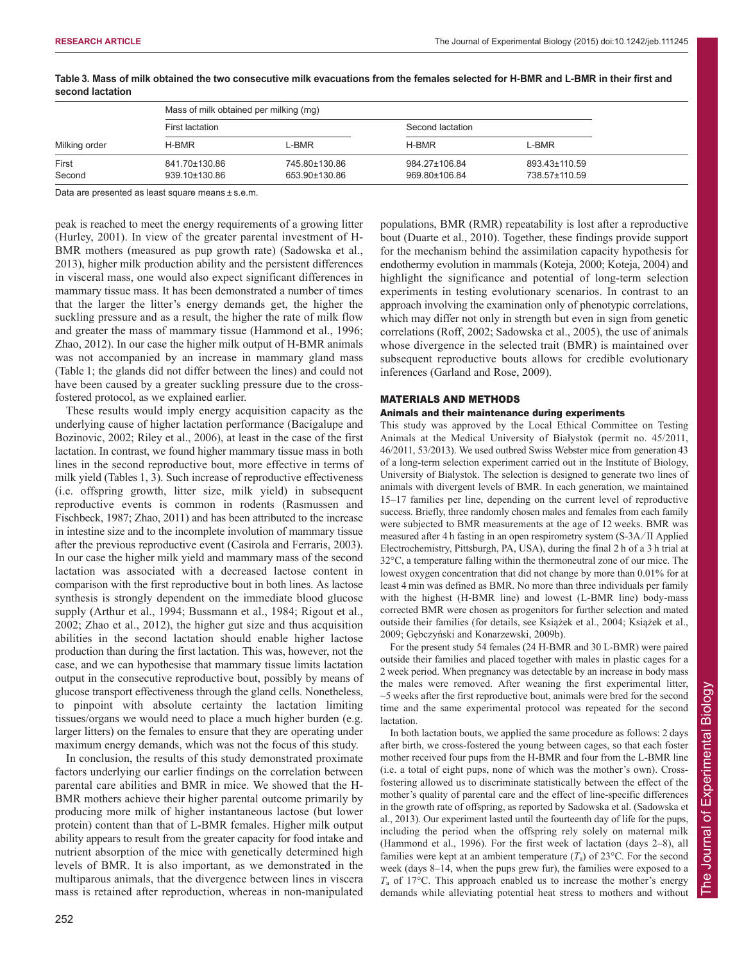|               | Mass of milk obtained per milking (mg) |               |                  |               |  |  |  |
|---------------|----------------------------------------|---------------|------------------|---------------|--|--|--|
|               | First lactation                        |               | Second lactation |               |  |  |  |
| Milking order | H-BMR                                  | -BMR          | H-BMR            | L-BMR         |  |  |  |
| First         | 841.70±130.86                          | 745.80±130.86 | 984.27±106.84    | 893.43±110.59 |  |  |  |
| Second        | 939.10±130.86                          | 653.90±130.86 | 969.80±106.84    | 738.57±110.59 |  |  |  |

#### **Table 3. Mass of milk obtained the two consecutive milk evacuations from the females selected for H-BMR and L-BMR in their first and second lactation**

Data are presented as least square means ± s.e.m.

peak is reached to meet the energy requirements of a growing litter (Hurley, 2001). In view of the greater parental investment of H-BMR mothers (measured as pup growth rate) (Sadowska et al., 2013), higher milk production ability and the persistent differences in visceral mass, one would also expect significant differences in mammary tissue mass. It has been demonstrated a number of times that the larger the litter's energy demands get, the higher the suckling pressure and as a result, the higher the rate of milk flow and greater the mass of mammary tissue (Hammond et al., 1996; Zhao, 2012). In our case the higher milk output of H-BMR animals was not accompanied by an increase in mammary gland mass (Table 1; the glands did not differ between the lines) and could not have been caused by a greater suckling pressure due to the crossfostered protocol, as we explained earlier.

These results would imply energy acquisition capacity as the underlying cause of higher lactation performance (Bacigalupe and Bozinovic, 2002; Riley et al., 2006), at least in the case of the first lactation. In contrast, we found higher mammary tissue mass in both lines in the second reproductive bout, more effective in terms of milk yield (Tables 1, 3). Such increase of reproductive effectiveness (i.e. offspring growth, litter size, milk yield) in subsequent reproductive events is common in rodents (Rasmussen and Fischbeck, 1987; Zhao, 2011) and has been attributed to the increase in intestine size and to the incomplete involution of mammary tissue after the previous reproductive event (Casirola and Ferraris, 2003). In our case the higher milk yield and mammary mass of the second lactation was associated with a decreased lactose content in comparison with the first reproductive bout in both lines. As lactose synthesis is strongly dependent on the immediate blood glucose supply (Arthur et al., 1994; Bussmann et al., 1984; Rigout et al., 2002; Zhao et al., 2012), the higher gut size and thus acquisition abilities in the second lactation should enable higher lactose production than during the first lactation. This was, however, not the case, and we can hypothesise that mammary tissue limits lactation output in the consecutive reproductive bout, possibly by means of glucose transport effectiveness through the gland cells. Nonetheless, to pinpoint with absolute certainty the lactation limiting tissues/organs we would need to place a much higher burden (e.g. larger litters) on the females to ensure that they are operating under maximum energy demands, which was not the focus of this study.

In conclusion, the results of this study demonstrated proximate factors underlying our earlier findings on the correlation between parental care abilities and BMR in mice. We showed that the H-BMR mothers achieve their higher parental outcome primarily by producing more milk of higher instantaneous lactose (but lower protein) content than that of L-BMR females. Higher milk output ability appears to result from the greater capacity for food intake and nutrient absorption of the mice with genetically determined high levels of BMR. It is also important, as we demonstrated in the multiparous animals, that the divergence between lines in viscera mass is retained after reproduction, whereas in non-manipulated populations, BMR (RMR) repeatability is lost after a reproductive bout (Duarte et al., 2010). Together, these findings provide support for the mechanism behind the assimilation capacity hypothesis for endothermy evolution in mammals (Koteja, 2000; Koteja, 2004) and highlight the significance and potential of long-term selection experiments in testing evolutionary scenarios. In contrast to an approach involving the examination only of phenotypic correlations, which may differ not only in strength but even in sign from genetic correlations (Roff, 2002; Sadowska et al., 2005), the use of animals whose divergence in the selected trait (BMR) is maintained over subsequent reproductive bouts allows for credible evolutionary inferences (Garland and Rose, 2009).

## MATERIALS AND METHODS

### Animals and their maintenance during experiments

This study was approved by the Local Ethical Committee on Testing Animals at the Medical University of Białystok (permit no. 45/2011, 46/2011, 53/2013). We used outbred Swiss Webster mice from generation 43 of a long-term selection experiment carried out in the Institute of Biology, University of Bialystok. The selection is designed to generate two lines of animals with divergent levels of BMR. In each generation, we maintained 15–17 families per line, depending on the current level of reproductive success. Briefly, three randomly chosen males and females from each family were subjected to BMR measurements at the age of 12 weeks. BMR was measured after 4 h fasting in an open respirometry system (S-3A ⁄ II Applied Electrochemistry, Pittsburgh, PA, USA), during the final 2 h of a 3 h trial at 32°C, a temperature falling within the thermoneutral zone of our mice. The lowest oxygen concentration that did not change by more than 0.01% for at least 4 min was defined as BMR. No more than three individuals per family with the highest (H-BMR line) and lowest (L-BMR line) body-mass corrected BMR were chosen as progenitors for further selection and mated outside their families (for details, see Książek et al., 2004; Książek et al., 2009; Gębczyński and Konarzewski, 2009b).

For the present study 54 females (24 H-BMR and 30 L-BMR) were paired outside their families and placed together with males in plastic cages for a 2 week period. When pregnancy was detectable by an increase in body mass the males were removed. After weaning the first experimental litter, ~5 weeks after the first reproductive bout, animals were bred for the second time and the same experimental protocol was repeated for the second lactation.

In both lactation bouts, we applied the same procedure as follows: 2 days after birth, we cross-fostered the young between cages, so that each foster mother received four pups from the H-BMR and four from the L-BMR line (i.e. a total of eight pups, none of which was the mother's own). Crossfostering allowed us to discriminate statistically between the effect of the mother's quality of parental care and the effect of line-specific differences in the growth rate of offspring, as reported by Sadowska et al. (Sadowska et al., 2013). Our experiment lasted until the fourteenth day of life for the pups, including the period when the offspring rely solely on maternal milk (Hammond et al., 1996). For the first week of lactation (days 2–8), all families were kept at an ambient temperature  $(T_a)$  of 23<sup>o</sup>C. For the second week (days 8–14, when the pups grew fur), the families were exposed to a  $T_a$  of 17 $\degree$ C. This approach enabled us to increase the mother's energy demands while alleviating potential heat stress to mothers and without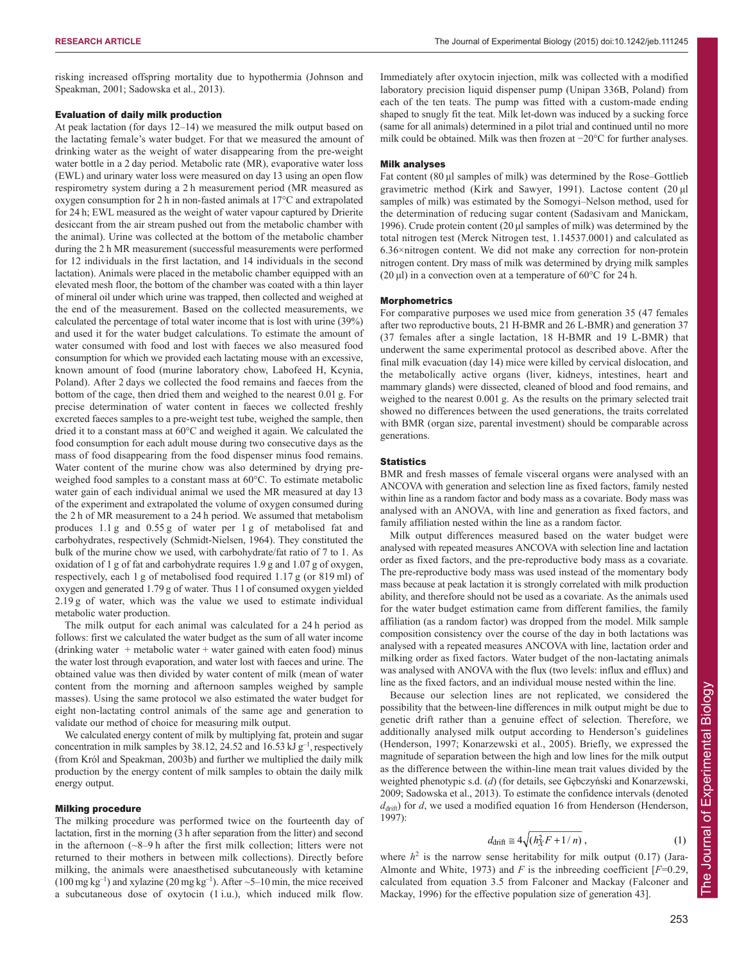risking increased offspring mortality due to hypothermia (Johnson and Speakman, 2001; Sadowska et al., 2013).

#### Evaluation of daily milk production

At peak lactation (for days 12–14) we measured the milk output based on the lactating female's water budget. For that we measured the amount of drinking water as the weight of water disappearing from the pre-weight water bottle in a 2 day period. Metabolic rate (MR), evaporative water loss (EWL) and urinary water loss were measured on day 13 using an open flow respirometry system during a 2 h measurement period (MR measured as oxygen consumption for 2 h in non-fasted animals at 17°C and extrapolated for 24 h; EWL measured as the weight of water vapour captured by Drierite desiccant from the air stream pushed out from the metabolic chamber with the animal). Urine was collected at the bottom of the metabolic chamber during the 2 h MR measurement (successful measurements were performed for 12 individuals in the first lactation, and 14 individuals in the second lactation). Animals were placed in the metabolic chamber equipped with an elevated mesh floor, the bottom of the chamber was coated with a thin layer of mineral oil under which urine was trapped, then collected and weighed at the end of the measurement. Based on the collected measurements, we calculated the percentage of total water income that is lost with urine (39%) and used it for the water budget calculations. To estimate the amount of water consumed with food and lost with faeces we also measured food consumption for which we provided each lactating mouse with an excessive, known amount of food (murine laboratory chow, Labofeed H, Kcynia, Poland). After 2 days we collected the food remains and faeces from the bottom of the cage, then dried them and weighed to the nearest 0.01 g. For precise determination of water content in faeces we collected freshly excreted faeces samples to a pre-weight test tube, weighed the sample, then dried it to a constant mass at 60°C and weighed it again. We calculated the food consumption for each adult mouse during two consecutive days as the mass of food disappearing from the food dispenser minus food remains. Water content of the murine chow was also determined by drying preweighed food samples to a constant mass at 60°C. To estimate metabolic water gain of each individual animal we used the MR measured at day 13 of the experiment and extrapolated the volume of oxygen consumed during the 2 h of MR measurement to a 24 h period. We assumed that metabolism produces 1.1 g and 0.55 g of water per 1 g of metabolised fat and carbohydrates, respectively (Schmidt-Nielsen, 1964). They constituted the bulk of the murine chow we used, with carbohydrate/fat ratio of 7 to 1. As oxidation of 1 g of fat and carbohydrate requires 1.9 g and 1.07 g of oxygen, respectively, each 1 g of metabolised food required 1.17 g (or 819 ml) of oxygen and generated 1.79 g of water. Thus 1 l of consumed oxygen yielded 2.19 g of water, which was the value we used to estimate individual metabolic water production.

The milk output for each animal was calculated for a 24 h period as follows: first we calculated the water budget as the sum of all water income  $(drinkingwater + metabolic water + water gained with eaten food) minus$ the water lost through evaporation, and water lost with faeces and urine. The obtained value was then divided by water content of milk (mean of water content from the morning and afternoon samples weighed by sample masses). Using the same protocol we also estimated the water budget for eight non-lactating control animals of the same age and generation to validate our method of choice for measuring milk output.

We calculated energy content of milk by multiplying fat, protein and sugar concentration in milk samples by 38.12, 24.52 and 16.53 kJ  $g^{-1}$ , respectively (from Król and Speakman, 2003b) and further we multiplied the daily milk production by the energy content of milk samples to obtain the daily milk energy output.

#### Milking procedure

The milking procedure was performed twice on the fourteenth day of lactation, first in the morning (3 h after separation from the litter) and second in the afternoon  $(-8-9 h)$  after the first milk collection; litters were not returned to their mothers in between milk collections). Directly before milking, the animals were anaesthetised subcutaneously with ketamine (100 mg kg<sup>-1</sup>) and xylazine (20 mg kg<sup>-1</sup>). After  $\sim$  5–10 min, the mice received a subcutaneous dose of oxytocin (1 i.u.), which induced milk flow.

Immediately after oxytocin injection, milk was collected with a modified laboratory precision liquid dispenser pump (Unipan 336B, Poland) from each of the ten teats. The pump was fitted with a custom-made ending shaped to snugly fit the teat. Milk let-down was induced by a sucking force (same for all animals) determined in a pilot trial and continued until no more milk could be obtained. Milk was then frozen at −20°C for further analyses.

#### Milk analyses

Fat content (80 μl samples of milk) was determined by the Rose–Gottlieb gravimetric method (Kirk and Sawyer, 1991). Lactose content (20 μl samples of milk) was estimated by the Somogyi–Nelson method, used for the determination of reducing sugar content (Sadasivam and Manickam, 1996). Crude protein content (20 μl samples of milk) was determined by the total nitrogen test (Merck Nitrogen test, 1.14537.0001) and calculated as 6.36×nitrogen content. We did not make any correction for non-protein nitrogen content. Dry mass of milk was determined by drying milk samples (20 μl) in a convection oven at a temperature of 60°C for 24 h.

#### **Morphometrics**

For comparative purposes we used mice from generation 35 (47 females after two reproductive bouts, 21 H-BMR and 26 L-BMR) and generation 37 (37 females after a single lactation, 18 H-BMR and 19 L-BMR) that underwent the same experimental protocol as described above. After the final milk evacuation (day 14) mice were killed by cervical dislocation, and the metabolically active organs (liver, kidneys, intestines, heart and mammary glands) were dissected, cleaned of blood and food remains, and weighed to the nearest 0.001 g. As the results on the primary selected trait showed no differences between the used generations, the traits correlated with BMR (organ size, parental investment) should be comparable across generations.

## **Statistics**

BMR and fresh masses of female visceral organs were analysed with an ANCOVA with generation and selection line as fixed factors, family nested within line as a random factor and body mass as a covariate. Body mass was analysed with an ANOVA, with line and generation as fixed factors, and family affiliation nested within the line as a random factor.

Milk output differences measured based on the water budget were analysed with repeated measures ANCOVA with selection line and lactation order as fixed factors, and the pre-reproductive body mass as a covariate. The pre-reproductive body mass was used instead of the momentary body mass because at peak lactation it is strongly correlated with milk production ability, and therefore should not be used as a covariate. As the animals used for the water budget estimation came from different families, the family affiliation (as a random factor) was dropped from the model. Milk sample composition consistency over the course of the day in both lactations was analysed with a repeated measures ANCOVA with line, lactation order and milking order as fixed factors. Water budget of the non-lactating animals was analysed with ANOVA with the flux (two levels: influx and efflux) and line as the fixed factors, and an individual mouse nested within the line.

Because our selection lines are not replicated, we considered the possibility that the between-line differences in milk output might be due to genetic drift rather than a genuine effect of selection. Therefore, we additionally analysed milk output according to Henderson's guidelines (Henderson, 1997; Konarzewski et al., 2005). Briefly, we expressed the magnitude of separation between the high and low lines for the milk output as the difference between the within-line mean trait values divided by the weighted phenotypic s.d. (*d*) (for details, see Gębczyński and Konarzewski, 2009; Sadowska et al., 2013). To estimate the confidence intervals (denoted  $d_{\text{drift}}$ ) for *d*, we used a modified equation 16 from Henderson (Henderson, 1997):

$$
d_{\text{drift}} \cong 4\sqrt{(h_X^2 F + 1/n)}\,,\tag{1}
$$

where  $h^2$  is the narrow sense heritability for milk output (0.17) (Jara-Almonte and White, 1973) and *F* is the inbreeding coefficient [*F*=0.29, calculated from equation 3.5 from Falconer and Mackay (Falconer and Mackay, 1996) for the effective population size of generation 43].